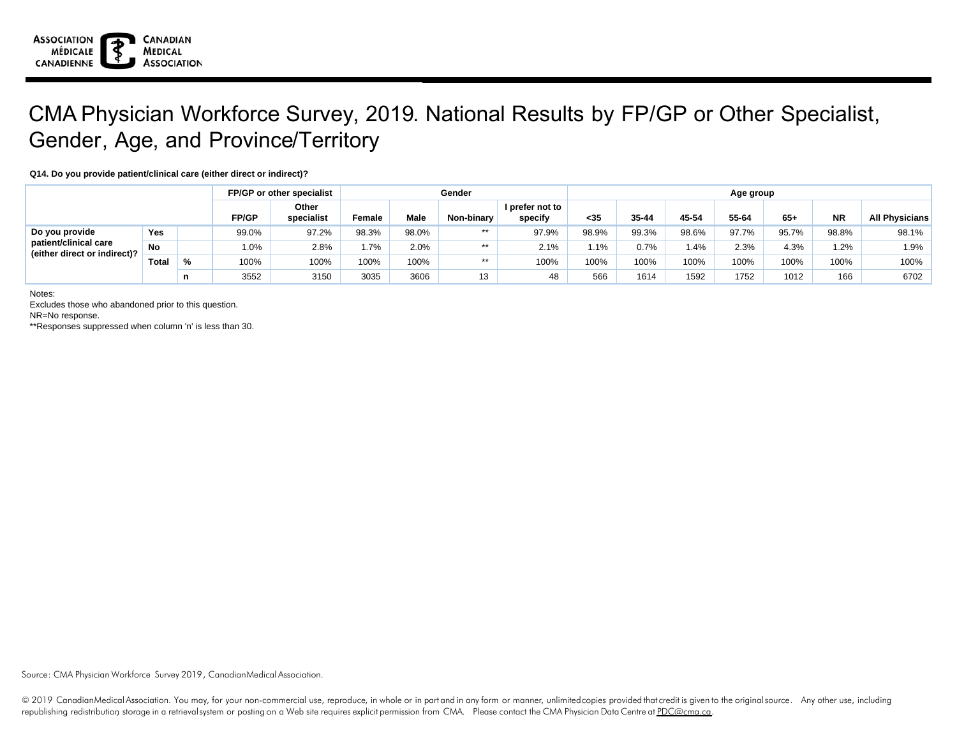

## CMA Physician Workforce Survey, 2019. National Results by FP/GP or Other Specialist, Gender, Age, and Province/Territory

## **Q14. Do you provide patient/clinical care (either direct or indirect)?**

|                                                                         |              |               |       | FP/GP or other specialist | Gender |       |            |                            | Age group |       |       |       |       |           |                       |  |
|-------------------------------------------------------------------------|--------------|---------------|-------|---------------------------|--------|-------|------------|----------------------------|-----------|-------|-------|-------|-------|-----------|-----------------------|--|
|                                                                         |              |               | FP/GP | Other<br>specialist       | Female | Male  | Non-binary | I prefer not to<br>specify | $35$      | 35-44 | 45-54 | 55-64 | $65+$ | <b>NR</b> | <b>All Physicians</b> |  |
| Do you provide<br>patient/clinical care<br>(either direct or indirect)? | Yes          |               | 99.0% | 97.2%                     | 98.3%  | 98.0% | $***$      | 97.9%                      | 98.9%     | 99.3% | 98.6% | 97.7% | 95.7% | 98.8%     | 98.1%                 |  |
|                                                                         | <b>No</b>    |               | 1.0%  | 2.8%                      | 1.7%   | 2.0%  | $***$      | 2.1%                       | $.1\%$    | 0.7%  | 1.4%  | 2.3%  | 4.3%  | 1.2%      | 1.9%                  |  |
|                                                                         | <b>Total</b> | $\frac{0}{0}$ | 100%  | 100%                      | 100%   | 100%  | $***$      | 100%                       | 100%      | 100%  | 100%  | 100%  | 100%  | 100%      | 100%                  |  |
|                                                                         |              | n             | 3552  | 3150                      | 3035   | 3606  | 12<br>10   | 48                         | 566       | 1614  | 1592  | 1752  | 1012  | 166       | 6702                  |  |

Notes:

Excludes those who abandoned prior to this question.

NR=No response.

\*\*Responses suppressed when column 'n' is less than 30.

Source: CMA Physician Workforce Survey 2019, CanadianMedical Association.